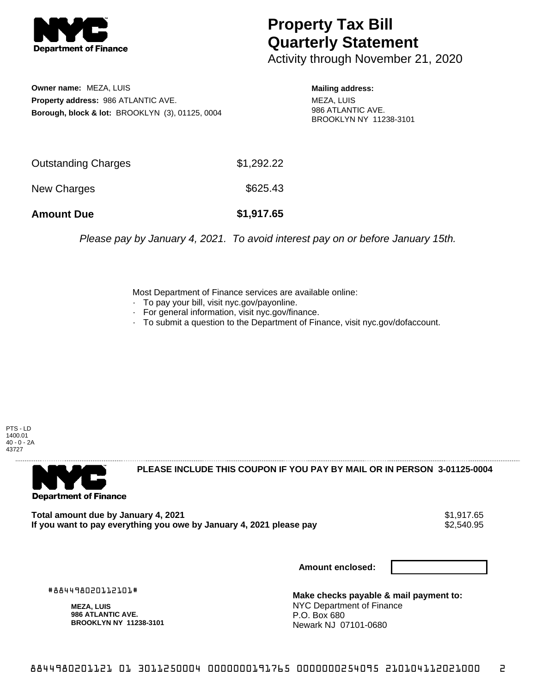

## **Property Tax Bill Quarterly Statement**

Activity through November 21, 2020

**Owner name:** MEZA, LUIS **Property address:** 986 ATLANTIC AVE. **Borough, block & lot:** BROOKLYN (3), 01125, 0004

**Mailing address:** MEZA, LUIS 986 ATLANTIC AVE. BROOKLYN NY 11238-3101

| <b>Amount Due</b>   | \$1,917.65 |
|---------------------|------------|
| New Charges         | \$625.43   |
| Outstanding Charges | \$1,292.22 |

Please pay by January 4, 2021. To avoid interest pay on or before January 15th.

Most Department of Finance services are available online:

- · To pay your bill, visit nyc.gov/payonline.
- For general information, visit nyc.gov/finance.
- · To submit a question to the Department of Finance, visit nyc.gov/dofaccount.





**PLEASE INCLUDE THIS COUPON IF YOU PAY BY MAIL OR IN PERSON 3-01125-0004** 

**Total amount due by January 4, 2021**<br>If you want to pay everything you owe by January 4, 2021 please pay **show that the set of the set of the s**2,540.95 If you want to pay everything you owe by January 4, 2021 please pay

**Amount enclosed:**

#884498020112101#

**MEZA, LUIS 986 ATLANTIC AVE. BROOKLYN NY 11238-3101**

**Make checks payable & mail payment to:** NYC Department of Finance P.O. Box 680 Newark NJ 07101-0680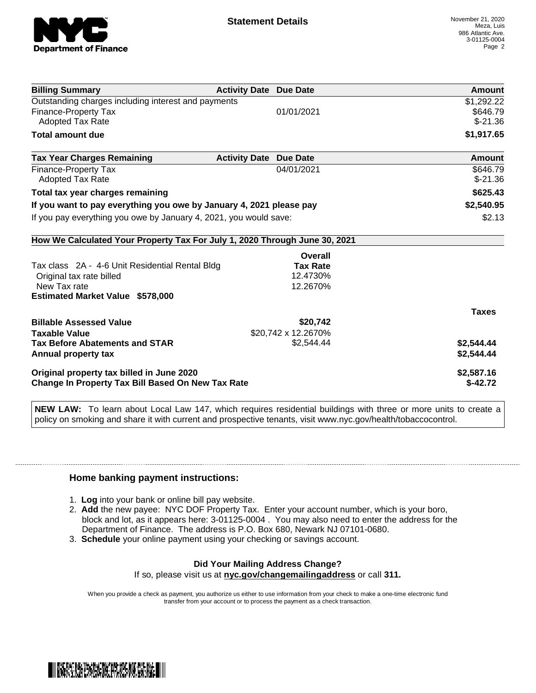

| <b>Billing Summary</b>                                                     | <b>Activity Date Due Date</b>           | Amount        |
|----------------------------------------------------------------------------|-----------------------------------------|---------------|
| Outstanding charges including interest and payments                        |                                         | \$1,292.22    |
| <b>Finance-Property Tax</b>                                                | 01/01/2021                              | \$646.79      |
| <b>Adopted Tax Rate</b>                                                    |                                         | $$-21.36$     |
| <b>Total amount due</b>                                                    |                                         | \$1,917.65    |
| <b>Tax Year Charges Remaining</b>                                          | <b>Activity Date</b><br><b>Due Date</b> | <b>Amount</b> |
| Finance-Property Tax                                                       | 04/01/2021                              | \$646.79      |
| Adopted Tax Rate                                                           |                                         | $$-21.36$     |
| Total tax year charges remaining                                           |                                         | \$625.43      |
| If you want to pay everything you owe by January 4, 2021 please pay        |                                         | \$2,540.95    |
| If you pay everything you owe by January 4, 2021, you would save:          |                                         | \$2.13        |
| How We Calculated Your Property Tax For July 1, 2020 Through June 30, 2021 |                                         |               |
|                                                                            | Overall                                 |               |
| Tax class 2A - 4-6 Unit Residential Rental Bldg                            | <b>Tax Rate</b>                         |               |
| Original tax rate billed                                                   | 12.4730%                                |               |
| New Tax rate                                                               | 12.2670%                                |               |
| <b>Estimated Market Value \$578,000</b>                                    |                                         |               |
|                                                                            |                                         | <b>Taxes</b>  |
| <b>Billable Assessed Value</b>                                             | \$20,742                                |               |
| <b>Taxable Value</b>                                                       | \$20,742 x 12.2670%                     |               |
| <b>Tax Before Abatements and STAR</b>                                      | \$2.544.44                              | \$2,544.44    |
| Annual property tax                                                        |                                         | \$2,544.44    |
| Original property tax billed in June 2020                                  |                                         | \$2,587.16    |
| <b>Change In Property Tax Bill Based On New Tax Rate</b>                   |                                         | $$-42.72$     |

**NEW LAW:** To learn about Local Law 147, which requires residential buildings with three or more units to create a policy on smoking and share it with current and prospective tenants, visit www.nyc.gov/health/tobaccocontrol.

## **Home banking payment instructions:**

- 1. **Log** into your bank or online bill pay website.
- 2. **Add** the new payee: NYC DOF Property Tax. Enter your account number, which is your boro, block and lot, as it appears here: 3-01125-0004 . You may also need to enter the address for the Department of Finance. The address is P.O. Box 680, Newark NJ 07101-0680.
- 3. **Schedule** your online payment using your checking or savings account.

## **Did Your Mailing Address Change?**

If so, please visit us at **nyc.gov/changemailingaddress** or call **311.**

When you provide a check as payment, you authorize us either to use information from your check to make a one-time electronic fund transfer from your account or to process the payment as a check transaction.